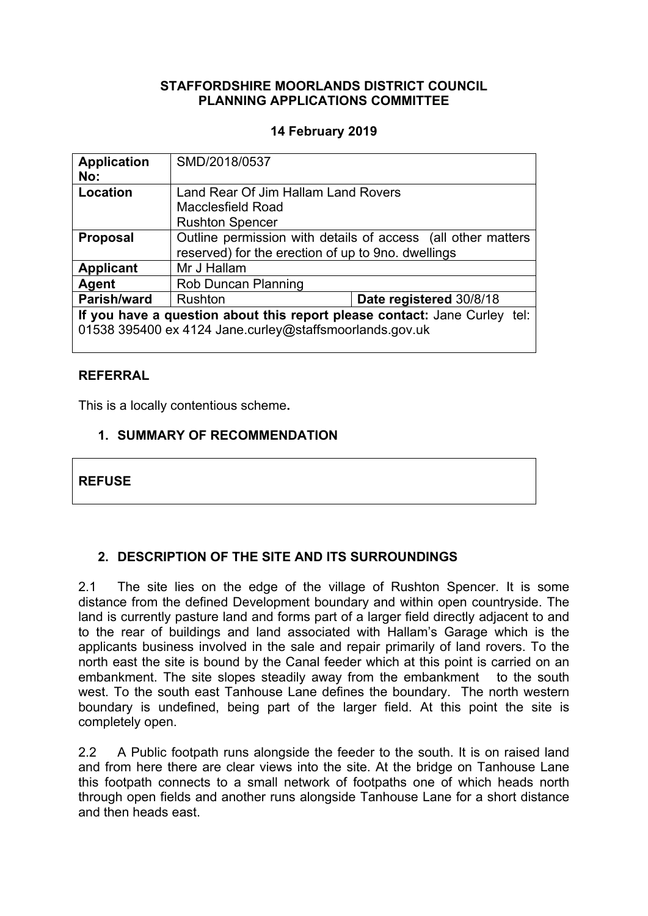### **STAFFORDSHIRE MOORLANDS DISTRICT COUNCIL PLANNING APPLICATIONS COMMITTEE**

### **14 February 2019**

| <b>Application</b>                                                        | SMD/2018/0537                                                |                         |
|---------------------------------------------------------------------------|--------------------------------------------------------------|-------------------------|
| No:                                                                       |                                                              |                         |
| Location                                                                  | Land Rear Of Jim Hallam Land Rovers                          |                         |
|                                                                           | Macclesfield Road                                            |                         |
|                                                                           | <b>Rushton Spencer</b>                                       |                         |
| <b>Proposal</b>                                                           | Outline permission with details of access (all other matters |                         |
|                                                                           | reserved) for the erection of up to 9no. dwellings           |                         |
| <b>Applicant</b>                                                          | Mr J Hallam                                                  |                         |
| Agent                                                                     | Rob Duncan Planning                                          |                         |
| Parish/ward                                                               | Rushton                                                      | Date registered 30/8/18 |
| If you have a question about this report please contact: Jane Curley tel: |                                                              |                         |
| 01538 395400 ex 4124 Jane.curley@staffsmoorlands.gov.uk                   |                                                              |                         |
|                                                                           |                                                              |                         |

### **REFERRAL**

This is a locally contentious scheme**.**

### **1. SUMMARY OF RECOMMENDATION**

### **REFUSE**

## **2. DESCRIPTION OF THE SITE AND ITS SURROUNDINGS**

2.1 The site lies on the edge of the village of Rushton Spencer. It is some distance from the defined Development boundary and within open countryside. The land is currently pasture land and forms part of a larger field directly adjacent to and to the rear of buildings and land associated with Hallam's Garage which is the applicants business involved in the sale and repair primarily of land rovers. To the north east the site is bound by the Canal feeder which at this point is carried on an embankment. The site slopes steadily away from the embankment to the south west. To the south east Tanhouse Lane defines the boundary. The north western boundary is undefined, being part of the larger field. At this point the site is completely open.

2.2 A Public footpath runs alongside the feeder to the south. It is on raised land and from here there are clear views into the site. At the bridge on Tanhouse Lane this footpath connects to a small network of footpaths one of which heads north through open fields and another runs alongside Tanhouse Lane for a short distance and then heads east.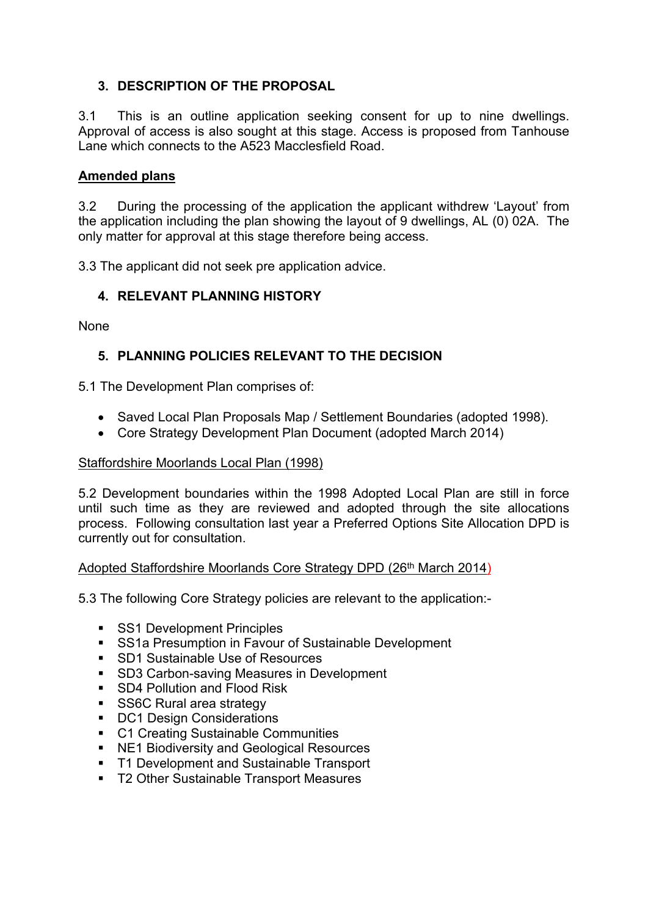# **3. DESCRIPTION OF THE PROPOSAL**

3.1 This is an outline application seeking consent for up to nine dwellings. Approval of access is also sought at this stage. Access is proposed from Tanhouse Lane which connects to the A523 Macclesfield Road.

### **Amended plans**

3.2 During the processing of the application the applicant withdrew 'Layout' from the application including the plan showing the layout of 9 dwellings, AL (0) 02A. The only matter for approval at this stage therefore being access.

3.3 The applicant did not seek pre application advice.

### **4. RELEVANT PLANNING HISTORY**

None

## **5. PLANNING POLICIES RELEVANT TO THE DECISION**

5.1 The Development Plan comprises of:

- Saved Local Plan Proposals Map / Settlement Boundaries (adopted 1998).
- Core Strategy Development Plan Document (adopted March 2014)

### Staffordshire Moorlands Local Plan (1998)

5.2 Development boundaries within the 1998 Adopted Local Plan are still in force until such time as they are reviewed and adopted through the site allocations process. Following consultation last year a Preferred Options Site Allocation DPD is currently out for consultation.

## Adopted Staffordshire Moorlands Core Strategy DPD (26th March 2014)

5.3 The following Core Strategy policies are relevant to the application:-

- **SS1 Development Principles**
- SS1a Presumption in Favour of Sustainable Development
- SD1 Sustainable Use of Resources
- SD3 Carbon-saving Measures in Development
- **SD4 Pollution and Flood Risk**
- SS6C Rural area strategy
- **DC1 Design Considerations**
- C1 Creating Sustainable Communities
- NE1 Biodiversity and Geological Resources
- **T1 Development and Sustainable Transport**
- **T2 Other Sustainable Transport Measures**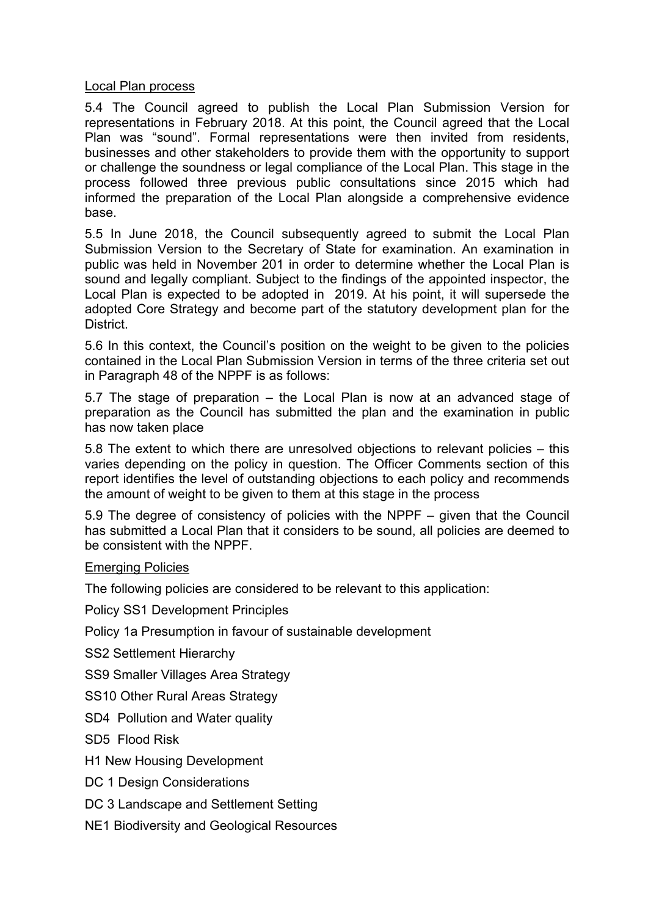#### Local Plan process

5.4 The Council agreed to publish the Local Plan Submission Version for representations in February 2018. At this point, the Council agreed that the Local Plan was "sound". Formal representations were then invited from residents, businesses and other stakeholders to provide them with the opportunity to support or challenge the soundness or legal compliance of the Local Plan. This stage in the process followed three previous public consultations since 2015 which had informed the preparation of the Local Plan alongside a comprehensive evidence base.

5.5 In June 2018, the Council subsequently agreed to submit the Local Plan Submission Version to the Secretary of State for examination. An examination in public was held in November 201 in order to determine whether the Local Plan is sound and legally compliant. Subject to the findings of the appointed inspector, the Local Plan is expected to be adopted in 2019. At his point, it will supersede the adopted Core Strategy and become part of the statutory development plan for the District.

5.6 In this context, the Council's position on the weight to be given to the policies contained in the Local Plan Submission Version in terms of the three criteria set out in Paragraph 48 of the NPPF is as follows:

5.7 The stage of preparation – the Local Plan is now at an advanced stage of preparation as the Council has submitted the plan and the examination in public has now taken place

5.8 The extent to which there are unresolved objections to relevant policies – this varies depending on the policy in question. The Officer Comments section of this report identifies the level of outstanding objections to each policy and recommends the amount of weight to be given to them at this stage in the process

5.9 The degree of consistency of policies with the NPPF – given that the Council has submitted a Local Plan that it considers to be sound, all policies are deemed to be consistent with the NPPF.

### Emerging Policies

The following policies are considered to be relevant to this application:

Policy SS1 Development Principles

Policy 1a Presumption in favour of sustainable development

SS2 Settlement Hierarchy

SS9 Smaller Villages Area Strategy

SS10 Other Rural Areas Strategy

SD4 Pollution and Water quality

SD5 Flood Risk

H1 New Housing Development

DC 1 Design Considerations

DC 3 Landscape and Settlement Setting

NE1 Biodiversity and Geological Resources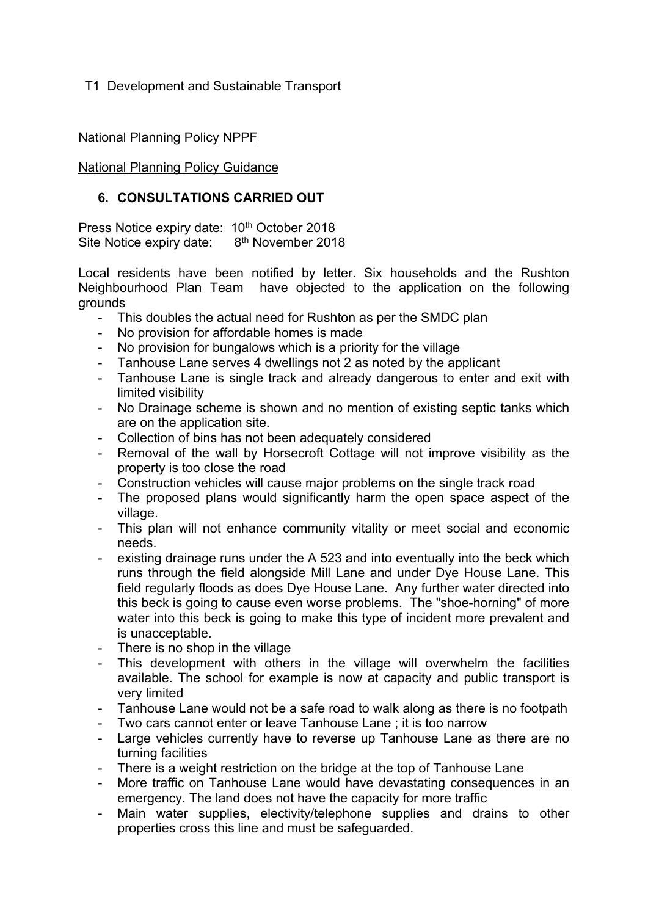### T1 Development and Sustainable Transport

### National Planning Policy NPPF

National Planning Policy Guidance

### **6. CONSULTATIONS CARRIED OUT**

Press Notice expiry date: 10<sup>th</sup> October 2018 Site Notice expiry date: 8<sup>th</sup> November 2018

Local residents have been notified by letter. Six households and the Rushton Neighbourhood Plan Team have objected to the application on the following grounds

- This doubles the actual need for Rushton as per the SMDC plan
- No provision for affordable homes is made
- No provision for bungalows which is a priority for the village
- Tanhouse Lane serves 4 dwellings not 2 as noted by the applicant
- Tanhouse Lane is single track and already dangerous to enter and exit with limited visibility
- No Drainage scheme is shown and no mention of existing septic tanks which are on the application site.
- Collection of bins has not been adequately considered
- Removal of the wall by Horsecroft Cottage will not improve visibility as the property is too close the road
- Construction vehicles will cause major problems on the single track road
- The proposed plans would significantly harm the open space aspect of the village.
- This plan will not enhance community vitality or meet social and economic needs.
- existing drainage runs under the A 523 and into eventually into the beck which runs through the field alongside Mill Lane and under Dye House Lane. This field regularly floods as does Dye House Lane. Any further water directed into this beck is going to cause even worse problems. The "shoe-horning" of more water into this beck is going to make this type of incident more prevalent and is unacceptable.
- There is no shop in the village
- This development with others in the village will overwhelm the facilities available. The school for example is now at capacity and public transport is very limited
- Tanhouse Lane would not be a safe road to walk along as there is no footpath
- Two cars cannot enter or leave Tanhouse Lane ; it is too narrow
- Large vehicles currently have to reverse up Tanhouse Lane as there are no turning facilities
- There is a weight restriction on the bridge at the top of Tanhouse Lane
- More traffic on Tanhouse Lane would have devastating consequences in an emergency. The land does not have the capacity for more traffic
- Main water supplies, electivity/telephone supplies and drains to other properties cross this line and must be safeguarded.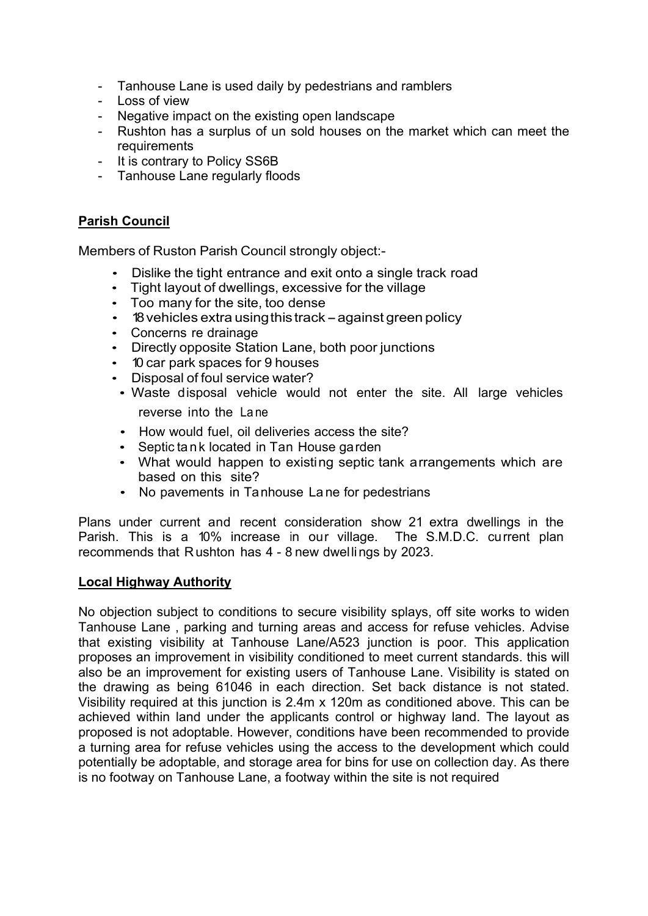- Tanhouse Lane is used daily by pedestrians and ramblers
- Loss of view
- Negative impact on the existing open landscape
- Rushton has a surplus of un sold houses on the market which can meet the requirements
- It is contrary to Policy SS6B
- Tanhouse Lane regularly floods

### **Parish Council**

Members of Ruston Parish Council strongly object:-

- Dislike the tight entrance and exit onto a single track road
- Tight layout of dwellings, excessive for the village
- Too many for the site, too dense
- 18 vehicles extra using this track against green policy
- Concerns re drainage
- Directly opposite Station Lane, both poor junctions
- 10 car park spaces for 9 houses
- Disposal of foul service water?
- Waste disposal vehicle would not enter the site. All large vehicles reverse into the La ne
- How would fuel, oil deliveries access the site?
- Septic tank located in Tan House garden
- What would happen to existing septic tank arrangements which are based on this site?
- No pavements in Tanhouse La ne for pedestrians

Plans under current and recent consideration show 21 extra dwellings in the Parish. This is a 10% increase in our village. The S.M.D.C. current plan recommends that Rushton has 4 - 8 new dwellings by 2023.

### **Local Highway Authority**

No objection subject to conditions to secure visibility splays, off site works to widen Tanhouse Lane , parking and turning areas and access for refuse vehicles. Advise that existing visibility at Tanhouse Lane/A523 junction is poor. This application proposes an improvement in visibility conditioned to meet current standards. this will also be an improvement for existing users of Tanhouse Lane. Visibility is stated on the drawing as being 61046 in each direction. Set back distance is not stated. Visibility required at this junction is 2.4m x 120m as conditioned above. This can be achieved within land under the applicants control or highway land. The layout as proposed is not adoptable. However, conditions have been recommended to provide a turning area for refuse vehicles using the access to the development which could potentially be adoptable, and storage area for bins for use on collection day. As there is no footway on Tanhouse Lane, a footway within the site is not required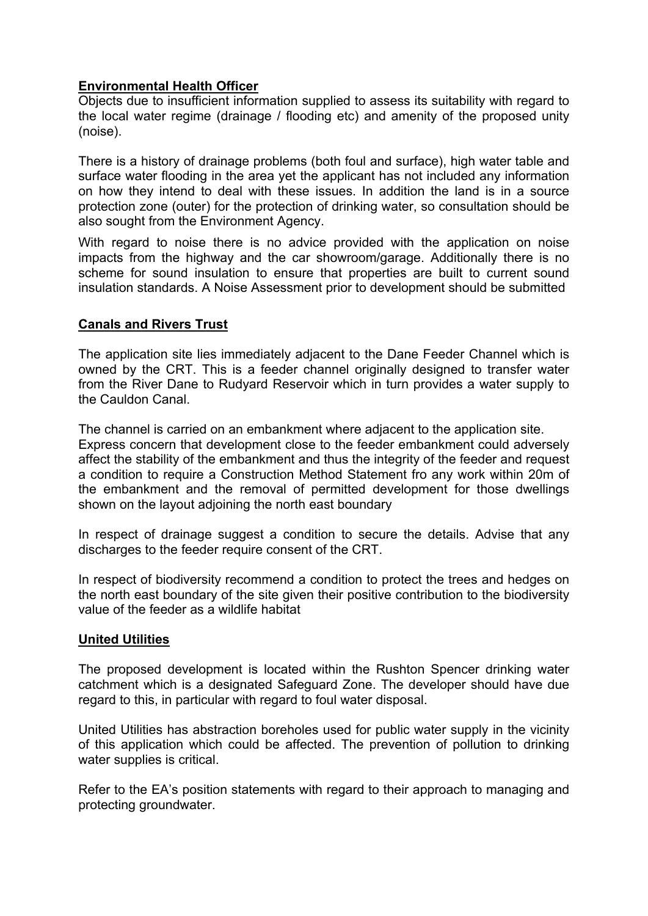### **Environmental Health Officer**

Objects due to insufficient information supplied to assess its suitability with regard to the local water regime (drainage / flooding etc) and amenity of the proposed unity (noise).

There is a history of drainage problems (both foul and surface), high water table and surface water flooding in the area yet the applicant has not included any information on how they intend to deal with these issues. In addition the land is in a source protection zone (outer) for the protection of drinking water, so consultation should be also sought from the Environment Agency.

With regard to noise there is no advice provided with the application on noise impacts from the highway and the car showroom/garage. Additionally there is no scheme for sound insulation to ensure that properties are built to current sound insulation standards. A Noise Assessment prior to development should be submitted

### **Canals and Rivers Trust**

The application site lies immediately adjacent to the Dane Feeder Channel which is owned by the CRT. This is a feeder channel originally designed to transfer water from the River Dane to Rudyard Reservoir which in turn provides a water supply to the Cauldon Canal.

The channel is carried on an embankment where adjacent to the application site. Express concern that development close to the feeder embankment could adversely affect the stability of the embankment and thus the integrity of the feeder and request a condition to require a Construction Method Statement fro any work within 20m of the embankment and the removal of permitted development for those dwellings shown on the layout adjoining the north east boundary

In respect of drainage suggest a condition to secure the details. Advise that any discharges to the feeder require consent of the CRT.

In respect of biodiversity recommend a condition to protect the trees and hedges on the north east boundary of the site given their positive contribution to the biodiversity value of the feeder as a wildlife habitat

### **United Utilities**

The proposed development is located within the Rushton Spencer drinking water catchment which is a designated Safeguard Zone. The developer should have due regard to this, in particular with regard to foul water disposal.

United Utilities has abstraction boreholes used for public water supply in the vicinity of this application which could be affected. The prevention of pollution to drinking water supplies is critical.

Refer to the EA's position statements with regard to their approach to managing and protecting groundwater.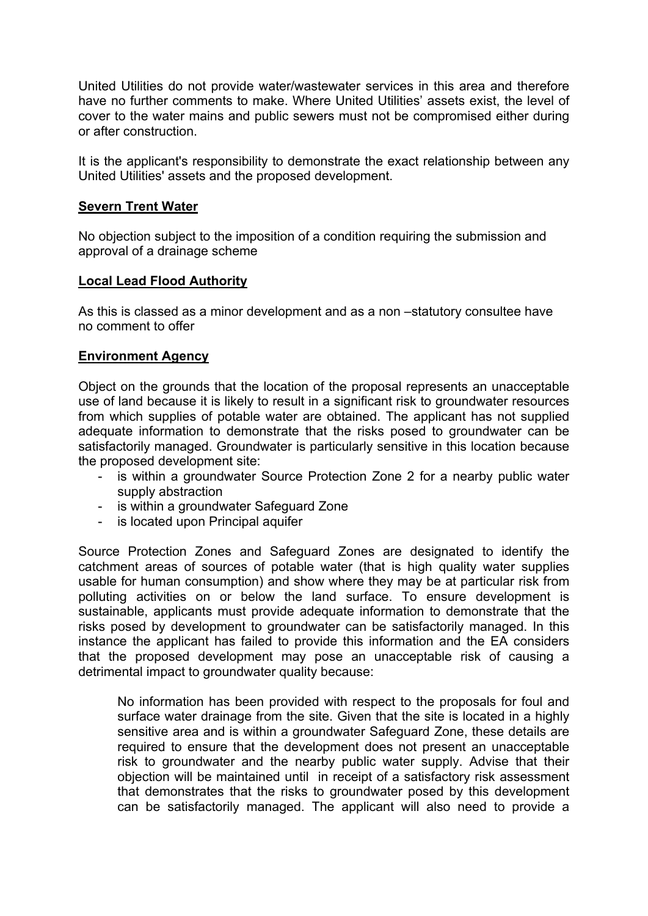United Utilities do not provide water/wastewater services in this area and therefore have no further comments to make. Where United Utilities' assets exist, the level of cover to the water mains and public sewers must not be compromised either during or after construction.

It is the applicant's responsibility to demonstrate the exact relationship between any United Utilities' assets and the proposed development.

#### **Severn Trent Water**

No objection subject to the imposition of a condition requiring the submission and approval of a drainage scheme

### **Local Lead Flood Authority**

As this is classed as a minor development and as a non –statutory consultee have no comment to offer

### **Environment Agency**

Object on the grounds that the location of the proposal represents an unacceptable use of land because it is likely to result in a significant risk to groundwater resources from which supplies of potable water are obtained. The applicant has not supplied adequate information to demonstrate that the risks posed to groundwater can be satisfactorily managed. Groundwater is particularly sensitive in this location because the proposed development site:

- is within a groundwater Source Protection Zone 2 for a nearby public water supply abstraction
- is within a groundwater Safeguard Zone
- is located upon Principal aquifer

Source Protection Zones and Safeguard Zones are designated to identify the catchment areas of sources of potable water (that is high quality water supplies usable for human consumption) and show where they may be at particular risk from polluting activities on or below the land surface. To ensure development is sustainable, applicants must provide adequate information to demonstrate that the risks posed by development to groundwater can be satisfactorily managed. In this instance the applicant has failed to provide this information and the EA considers that the proposed development may pose an unacceptable risk of causing a detrimental impact to groundwater quality because:

No information has been provided with respect to the proposals for foul and surface water drainage from the site. Given that the site is located in a highly sensitive area and is within a groundwater Safeguard Zone, these details are required to ensure that the development does not present an unacceptable risk to groundwater and the nearby public water supply. Advise that their objection will be maintained until in receipt of a satisfactory risk assessment that demonstrates that the risks to groundwater posed by this development can be satisfactorily managed. The applicant will also need to provide a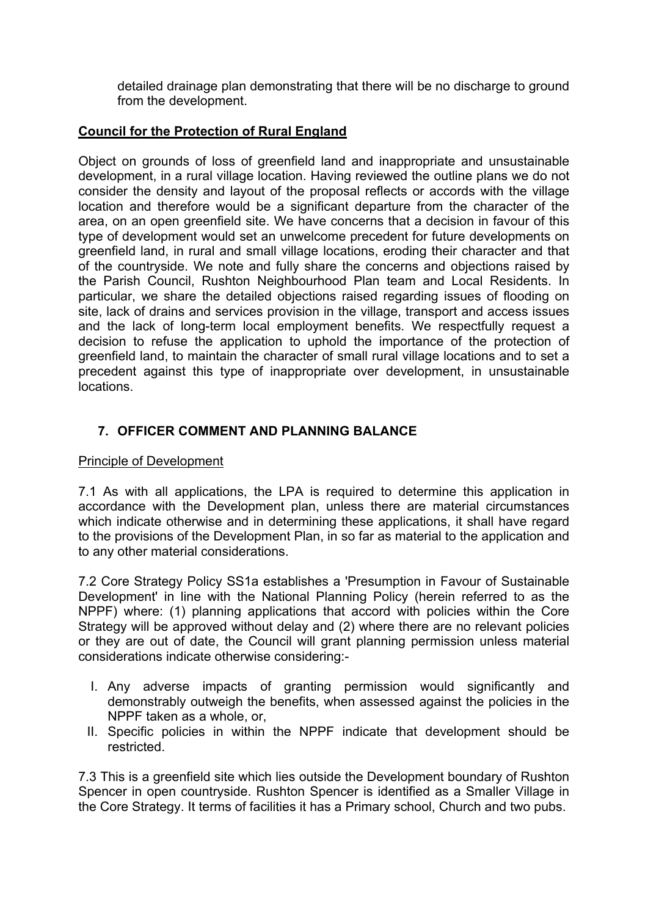detailed drainage plan demonstrating that there will be no discharge to ground from the development.

# **Council for the Protection of Rural England**

Object on grounds of loss of greenfield land and inappropriate and unsustainable development, in a rural village location. Having reviewed the outline plans we do not consider the density and layout of the proposal reflects or accords with the village location and therefore would be a significant departure from the character of the area, on an open greenfield site. We have concerns that a decision in favour of this type of development would set an unwelcome precedent for future developments on greenfield land, in rural and small village locations, eroding their character and that of the countryside. We note and fully share the concerns and objections raised by the Parish Council, Rushton Neighbourhood Plan team and Local Residents. In particular, we share the detailed objections raised regarding issues of flooding on site, lack of drains and services provision in the village, transport and access issues and the lack of long-term local employment benefits. We respectfully request a decision to refuse the application to uphold the importance of the protection of greenfield land, to maintain the character of small rural village locations and to set a precedent against this type of inappropriate over development, in unsustainable locations.

# **7. OFFICER COMMENT AND PLANNING BALANCE**

### Principle of Development

7.1 As with all applications, the LPA is required to determine this application in accordance with the Development plan, unless there are material circumstances which indicate otherwise and in determining these applications, it shall have regard to the provisions of the Development Plan, in so far as material to the application and to any other material considerations.

7.2 Core Strategy Policy SS1a establishes a 'Presumption in Favour of Sustainable Development' in line with the National Planning Policy (herein referred to as the NPPF) where: (1) planning applications that accord with policies within the Core Strategy will be approved without delay and (2) where there are no relevant policies or they are out of date, the Council will grant planning permission unless material considerations indicate otherwise considering:-

- I. Any adverse impacts of granting permission would significantly and demonstrably outweigh the benefits, when assessed against the policies in the NPPF taken as a whole, or,
- II. Specific policies in within the NPPF indicate that development should be restricted.

7.3 This is a greenfield site which lies outside the Development boundary of Rushton Spencer in open countryside. Rushton Spencer is identified as a Smaller Village in the Core Strategy. It terms of facilities it has a Primary school, Church and two pubs.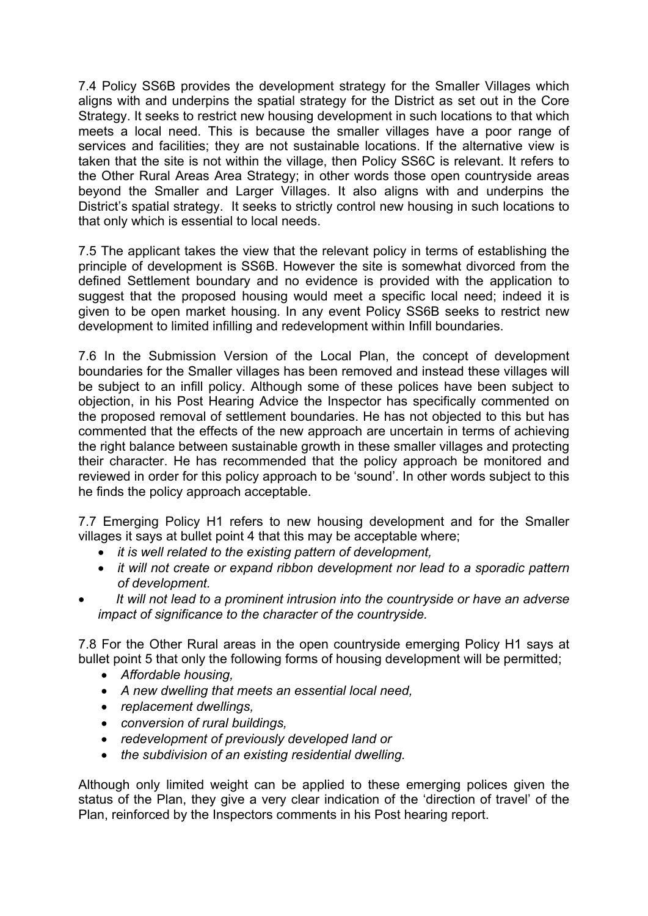7.4 Policy SS6B provides the development strategy for the Smaller Villages which aligns with and underpins the spatial strategy for the District as set out in the Core Strategy. It seeks to restrict new housing development in such locations to that which meets a local need. This is because the smaller villages have a poor range of services and facilities; they are not sustainable locations. If the alternative view is taken that the site is not within the village, then Policy SS6C is relevant. It refers to the Other Rural Areas Area Strategy; in other words those open countryside areas beyond the Smaller and Larger Villages. It also aligns with and underpins the District's spatial strategy. It seeks to strictly control new housing in such locations to that only which is essential to local needs.

7.5 The applicant takes the view that the relevant policy in terms of establishing the principle of development is SS6B. However the site is somewhat divorced from the defined Settlement boundary and no evidence is provided with the application to suggest that the proposed housing would meet a specific local need; indeed it is given to be open market housing. In any event Policy SS6B seeks to restrict new development to limited infilling and redevelopment within Infill boundaries.

7.6 In the Submission Version of the Local Plan, the concept of development boundaries for the Smaller villages has been removed and instead these villages will be subject to an infill policy. Although some of these polices have been subject to objection, in his Post Hearing Advice the Inspector has specifically commented on the proposed removal of settlement boundaries. He has not objected to this but has commented that the effects of the new approach are uncertain in terms of achieving the right balance between sustainable growth in these smaller villages and protecting their character. He has recommended that the policy approach be monitored and reviewed in order for this policy approach to be 'sound'. In other words subject to this he finds the policy approach acceptable.

7.7 Emerging Policy H1 refers to new housing development and for the Smaller villages it says at bullet point 4 that this may be acceptable where;

- *it is well related to the existing pattern of development,*
- *it will not create or expand ribbon development nor lead to a sporadic pattern of development.*
- *It will not lead to a prominent intrusion into the countryside or have an adverse impact of significance to the character of the countryside.*

7.8 For the Other Rural areas in the open countryside emerging Policy H1 says at bullet point 5 that only the following forms of housing development will be permitted;

- *Affordable housing,*
- *A new dwelling that meets an essential local need,*
- *replacement dwellings,*
- *conversion of rural buildings,*
- *redevelopment of previously developed land or*
- *the subdivision of an existing residential dwelling.*

Although only limited weight can be applied to these emerging polices given the status of the Plan, they give a very clear indication of the 'direction of travel' of the Plan, reinforced by the Inspectors comments in his Post hearing report.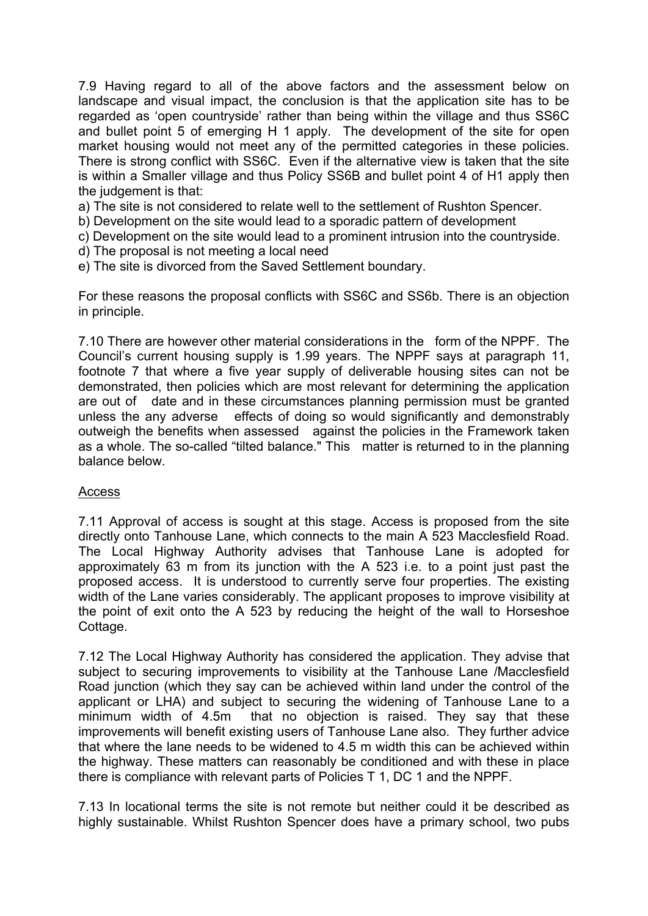7.9 Having regard to all of the above factors and the assessment below on landscape and visual impact, the conclusion is that the application site has to be regarded as 'open countryside' rather than being within the village and thus SS6C and bullet point 5 of emerging H 1 apply. The development of the site for open market housing would not meet any of the permitted categories in these policies. There is strong conflict with SS6C. Even if the alternative view is taken that the site is within a Smaller village and thus Policy SS6B and bullet point 4 of H1 apply then the judgement is that:

a) The site is not considered to relate well to the settlement of Rushton Spencer.

b) Development on the site would lead to a sporadic pattern of development

- c) Development on the site would lead to a prominent intrusion into the countryside.
- d) The proposal is not meeting a local need
- e) The site is divorced from the Saved Settlement boundary.

For these reasons the proposal conflicts with SS6C and SS6b. There is an objection in principle.

7.10 There are however other material considerations in the form of the NPPF. The Council's current housing supply is 1.99 years. The NPPF says at paragraph 11, footnote 7 that where a five year supply of deliverable housing sites can not be demonstrated, then policies which are most relevant for determining the application are out of date and in these circumstances planning permission must be granted unless the any adverse effects of doing so would significantly and demonstrably outweigh the benefits when assessed against the policies in the Framework taken as a whole. The so-called "tilted balance." This matter is returned to in the planning balance below.

### Access

7.11 Approval of access is sought at this stage. Access is proposed from the site directly onto Tanhouse Lane, which connects to the main A 523 Macclesfield Road. The Local Highway Authority advises that Tanhouse Lane is adopted for approximately 63 m from its junction with the A 523 i.e. to a point just past the proposed access. It is understood to currently serve four properties. The existing width of the Lane varies considerably. The applicant proposes to improve visibility at the point of exit onto the A 523 by reducing the height of the wall to Horseshoe Cottage.

7.12 The Local Highway Authority has considered the application. They advise that subject to securing improvements to visibility at the Tanhouse Lane /Macclesfield Road junction (which they say can be achieved within land under the control of the applicant or LHA) and subject to securing the widening of Tanhouse Lane to a minimum width of 4.5m that no objection is raised. They say that these improvements will benefit existing users of Tanhouse Lane also. They further advice that where the lane needs to be widened to 4.5 m width this can be achieved within the highway. These matters can reasonably be conditioned and with these in place there is compliance with relevant parts of Policies T 1, DC 1 and the NPPF.

7.13 In locational terms the site is not remote but neither could it be described as highly sustainable. Whilst Rushton Spencer does have a primary school, two pubs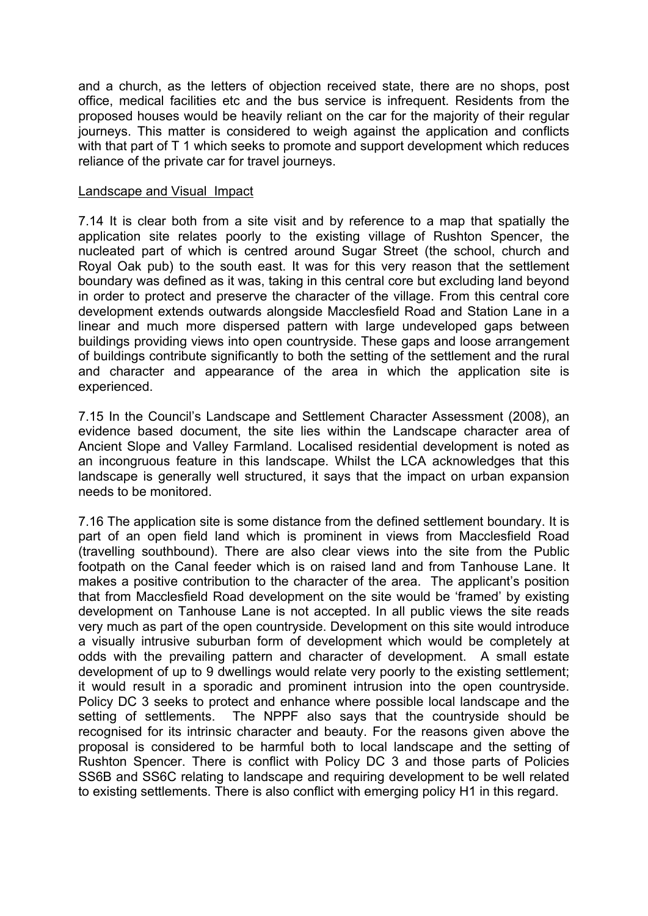and a church, as the letters of objection received state, there are no shops, post office, medical facilities etc and the bus service is infrequent. Residents from the proposed houses would be heavily reliant on the car for the majority of their regular journeys. This matter is considered to weigh against the application and conflicts with that part of T 1 which seeks to promote and support development which reduces reliance of the private car for travel journeys.

#### Landscape and Visual Impact

7.14 It is clear both from a site visit and by reference to a map that spatially the application site relates poorly to the existing village of Rushton Spencer, the nucleated part of which is centred around Sugar Street (the school, church and Royal Oak pub) to the south east. It was for this very reason that the settlement boundary was defined as it was, taking in this central core but excluding land beyond in order to protect and preserve the character of the village. From this central core development extends outwards alongside Macclesfield Road and Station Lane in a linear and much more dispersed pattern with large undeveloped gaps between buildings providing views into open countryside. These gaps and loose arrangement of buildings contribute significantly to both the setting of the settlement and the rural and character and appearance of the area in which the application site is experienced.

7.15 In the Council's Landscape and Settlement Character Assessment (2008), an evidence based document, the site lies within the Landscape character area of Ancient Slope and Valley Farmland. Localised residential development is noted as an incongruous feature in this landscape. Whilst the LCA acknowledges that this landscape is generally well structured, it says that the impact on urban expansion needs to be monitored.

7.16 The application site is some distance from the defined settlement boundary. It is part of an open field land which is prominent in views from Macclesfield Road (travelling southbound). There are also clear views into the site from the Public footpath on the Canal feeder which is on raised land and from Tanhouse Lane. It makes a positive contribution to the character of the area. The applicant's position that from Macclesfield Road development on the site would be 'framed' by existing development on Tanhouse Lane is not accepted. In all public views the site reads very much as part of the open countryside. Development on this site would introduce a visually intrusive suburban form of development which would be completely at odds with the prevailing pattern and character of development. A small estate development of up to 9 dwellings would relate very poorly to the existing settlement; it would result in a sporadic and prominent intrusion into the open countryside. Policy DC 3 seeks to protect and enhance where possible local landscape and the setting of settlements. The NPPF also says that the countryside should be recognised for its intrinsic character and beauty. For the reasons given above the proposal is considered to be harmful both to local landscape and the setting of Rushton Spencer. There is conflict with Policy DC 3 and those parts of Policies SS6B and SS6C relating to landscape and requiring development to be well related to existing settlements. There is also conflict with emerging policy H1 in this regard.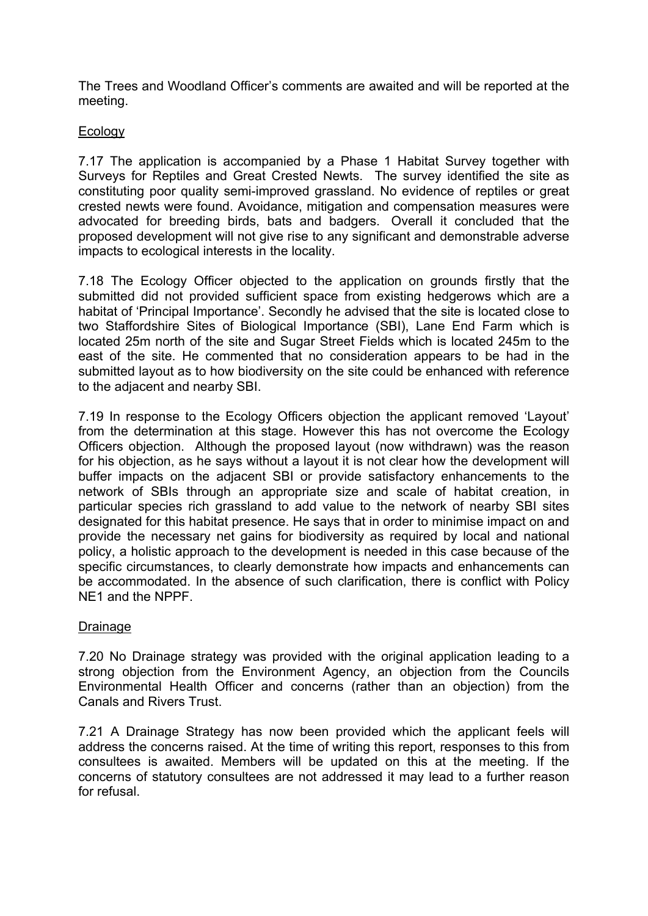The Trees and Woodland Officer's comments are awaited and will be reported at the meeting.

### Ecology

7.17 The application is accompanied by a Phase 1 Habitat Survey together with Surveys for Reptiles and Great Crested Newts. The survey identified the site as constituting poor quality semi-improved grassland. No evidence of reptiles or great crested newts were found. Avoidance, mitigation and compensation measures were advocated for breeding birds, bats and badgers. Overall it concluded that the proposed development will not give rise to any significant and demonstrable adverse impacts to ecological interests in the locality.

7.18 The Ecology Officer objected to the application on grounds firstly that the submitted did not provided sufficient space from existing hedgerows which are a habitat of 'Principal Importance'. Secondly he advised that the site is located close to two Staffordshire Sites of Biological Importance (SBI), Lane End Farm which is located 25m north of the site and Sugar Street Fields which is located 245m to the east of the site. He commented that no consideration appears to be had in the submitted layout as to how biodiversity on the site could be enhanced with reference to the adjacent and nearby SBI.

7.19 In response to the Ecology Officers objection the applicant removed 'Layout' from the determination at this stage. However this has not overcome the Ecology Officers objection. Although the proposed layout (now withdrawn) was the reason for his objection, as he says without a layout it is not clear how the development will buffer impacts on the adjacent SBI or provide satisfactory enhancements to the network of SBIs through an appropriate size and scale of habitat creation, in particular species rich grassland to add value to the network of nearby SBI sites designated for this habitat presence. He says that in order to minimise impact on and provide the necessary net gains for biodiversity as required by local and national policy, a holistic approach to the development is needed in this case because of the specific circumstances, to clearly demonstrate how impacts and enhancements can be accommodated. In the absence of such clarification, there is conflict with Policy NE1 and the NPPF.

### Drainage

7.20 No Drainage strategy was provided with the original application leading to a strong objection from the Environment Agency, an objection from the Councils Environmental Health Officer and concerns (rather than an objection) from the Canals and Rivers Trust.

7.21 A Drainage Strategy has now been provided which the applicant feels will address the concerns raised. At the time of writing this report, responses to this from consultees is awaited. Members will be updated on this at the meeting. If the concerns of statutory consultees are not addressed it may lead to a further reason for refusal.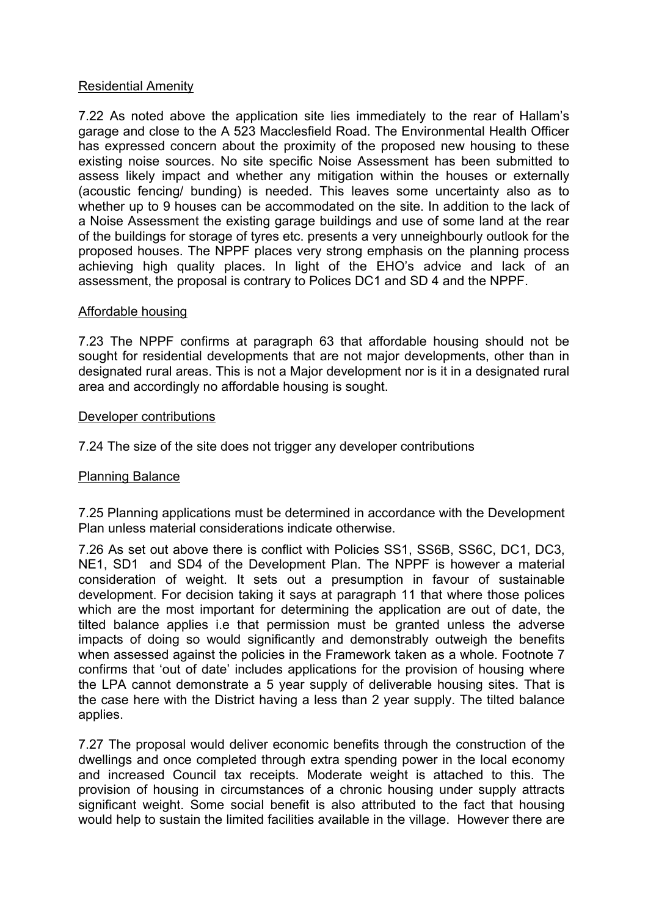### Residential Amenity

7.22 As noted above the application site lies immediately to the rear of Hallam's garage and close to the A 523 Macclesfield Road. The Environmental Health Officer has expressed concern about the proximity of the proposed new housing to these existing noise sources. No site specific Noise Assessment has been submitted to assess likely impact and whether any mitigation within the houses or externally (acoustic fencing/ bunding) is needed. This leaves some uncertainty also as to whether up to 9 houses can be accommodated on the site. In addition to the lack of a Noise Assessment the existing garage buildings and use of some land at the rear of the buildings for storage of tyres etc. presents a very unneighbourly outlook for the proposed houses. The NPPF places very strong emphasis on the planning process achieving high quality places. In light of the EHO's advice and lack of an assessment, the proposal is contrary to Polices DC1 and SD 4 and the NPPF.

### Affordable housing

7.23 The NPPF confirms at paragraph 63 that affordable housing should not be sought for residential developments that are not major developments, other than in designated rural areas. This is not a Major development nor is it in a designated rural area and accordingly no affordable housing is sought.

### Developer contributions

7.24 The size of the site does not trigger any developer contributions

### Planning Balance

7.25 Planning applications must be determined in accordance with the Development Plan unless material considerations indicate otherwise.

7.26 As set out above there is conflict with Policies SS1, SS6B, SS6C, DC1, DC3, NE1, SD1 and SD4 of the Development Plan. The NPPF is however a material consideration of weight. It sets out a presumption in favour of sustainable development. For decision taking it says at paragraph 11 that where those polices which are the most important for determining the application are out of date, the tilted balance applies i.e that permission must be granted unless the adverse impacts of doing so would significantly and demonstrably outweigh the benefits when assessed against the policies in the Framework taken as a whole. Footnote 7 confirms that 'out of date' includes applications for the provision of housing where the LPA cannot demonstrate a 5 year supply of deliverable housing sites. That is the case here with the District having a less than 2 year supply. The tilted balance applies.

7.27 The proposal would deliver economic benefits through the construction of the dwellings and once completed through extra spending power in the local economy and increased Council tax receipts. Moderate weight is attached to this. The provision of housing in circumstances of a chronic housing under supply attracts significant weight. Some social benefit is also attributed to the fact that housing would help to sustain the limited facilities available in the village. However there are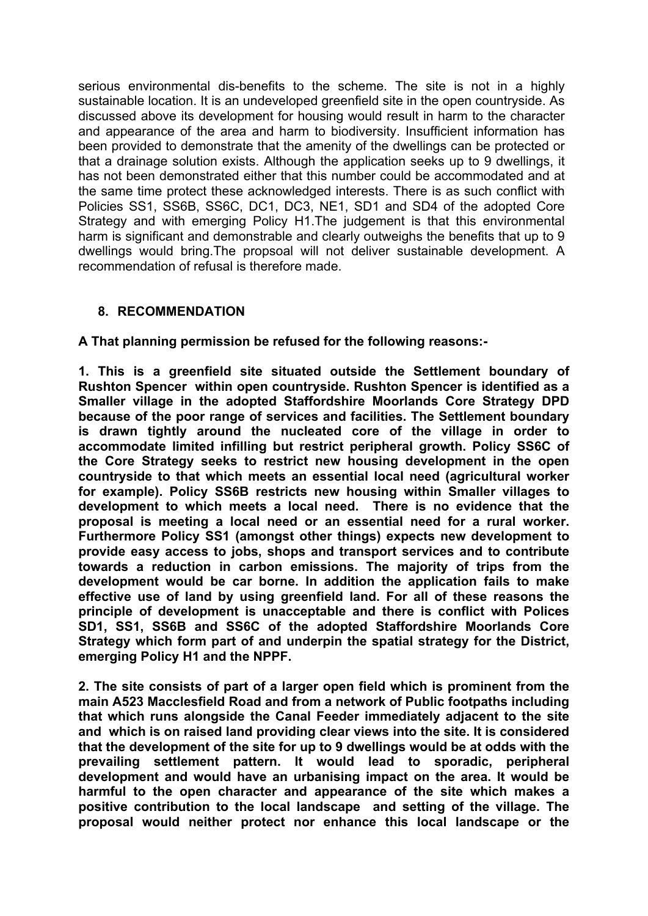serious environmental dis-benefits to the scheme. The site is not in a highly sustainable location. It is an undeveloped greenfield site in the open countryside. As discussed above its development for housing would result in harm to the character and appearance of the area and harm to biodiversity. Insufficient information has been provided to demonstrate that the amenity of the dwellings can be protected or that a drainage solution exists. Although the application seeks up to 9 dwellings, it has not been demonstrated either that this number could be accommodated and at the same time protect these acknowledged interests. There is as such conflict with Policies SS1, SS6B, SS6C, DC1, DC3, NE1, SD1 and SD4 of the adopted Core Strategy and with emerging Policy H1.The judgement is that this environmental harm is significant and demonstrable and clearly outweighs the benefits that up to 9 dwellings would bring.The propsoal will not deliver sustainable development. A recommendation of refusal is therefore made.

### **8. RECOMMENDATION**

**A That planning permission be refused for the following reasons:-**

**1. This is a greenfield site situated outside the Settlement boundary of Rushton Spencer within open countryside. Rushton Spencer is identified as a Smaller village in the adopted Staffordshire Moorlands Core Strategy DPD because of the poor range of services and facilities. The Settlement boundary is drawn tightly around the nucleated core of the village in order to accommodate limited infilling but restrict peripheral growth. Policy SS6C of the Core Strategy seeks to restrict new housing development in the open countryside to that which meets an essential local need (agricultural worker for example). Policy SS6B restricts new housing within Smaller villages to development to which meets a local need. There is no evidence that the proposal is meeting a local need or an essential need for a rural worker. Furthermore Policy SS1 (amongst other things) expects new development to provide easy access to jobs, shops and transport services and to contribute towards a reduction in carbon emissions. The majority of trips from the development would be car borne. In addition the application fails to make effective use of land by using greenfield land. For all of these reasons the principle of development is unacceptable and there is conflict with Polices SD1, SS1, SS6B and SS6C of the adopted Staffordshire Moorlands Core Strategy which form part of and underpin the spatial strategy for the District, emerging Policy H1 and the NPPF.**

**2. The site consists of part of a larger open field which is prominent from the main A523 Macclesfield Road and from a network of Public footpaths including that which runs alongside the Canal Feeder immediately adjacent to the site and which is on raised land providing clear views into the site. It is considered that the development of the site for up to 9 dwellings would be at odds with the prevailing settlement pattern. It would lead to sporadic, peripheral development and would have an urbanising impact on the area. It would be harmful to the open character and appearance of the site which makes a positive contribution to the local landscape and setting of the village. The proposal would neither protect nor enhance this local landscape or the**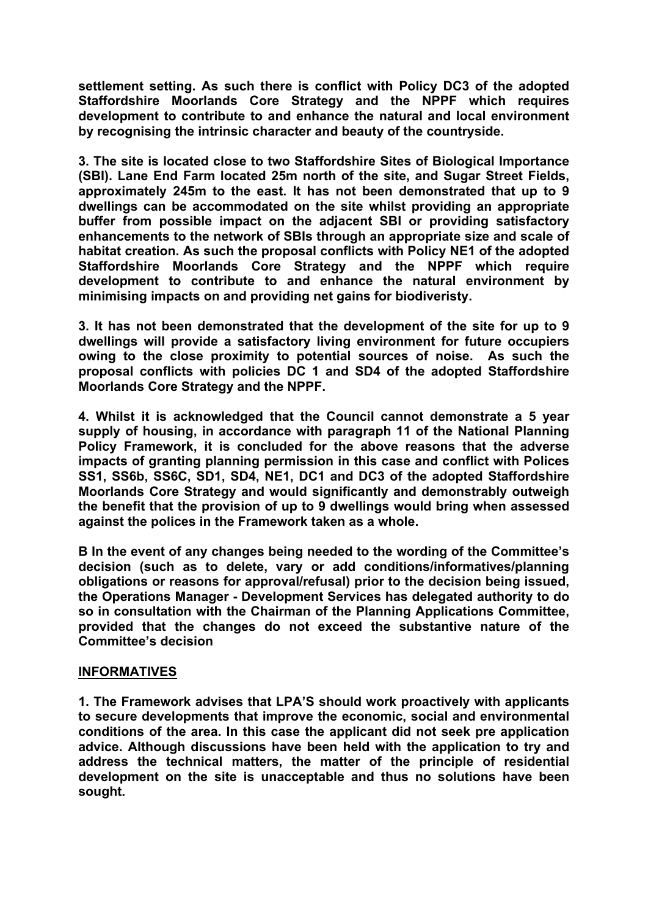**settlement setting. As such there is conflict with Policy DC3 of the adopted Staffordshire Moorlands Core Strategy and the NPPF which requires development to contribute to and enhance the natural and local environment by recognising the intrinsic character and beauty of the countryside.**

**3. The site is located close to two Staffordshire Sites of Biological Importance (SBI). Lane End Farm located 25m north of the site, and Sugar Street Fields, approximately 245m to the east. It has not been demonstrated that up to 9 dwellings can be accommodated on the site whilst providing an appropriate buffer from possible impact on the adjacent SBI or providing satisfactory enhancements to the network of SBIs through an appropriate size and scale of habitat creation. As such the proposal conflicts with Policy NE1 of the adopted Staffordshire Moorlands Core Strategy and the NPPF which require development to contribute to and enhance the natural environment by minimising impacts on and providing net gains for biodiveristy.**

**3. It has not been demonstrated that the development of the site for up to 9 dwellings will provide a satisfactory living environment for future occupiers owing to the close proximity to potential sources of noise. As such the proposal conflicts with policies DC 1 and SD4 of the adopted Staffordshire Moorlands Core Strategy and the NPPF.**

**4. Whilst it is acknowledged that the Council cannot demonstrate a 5 year supply of housing, in accordance with paragraph 11 of the National Planning Policy Framework, it is concluded for the above reasons that the adverse impacts of granting planning permission in this case and conflict with Polices SS1, SS6b, SS6C, SD1, SD4, NE1, DC1 and DC3 of the adopted Staffordshire Moorlands Core Strategy and would significantly and demonstrably outweigh the benefit that the provision of up to 9 dwellings would bring when assessed against the polices in the Framework taken as a whole.**

**B In the event of any changes being needed to the wording of the Committee's decision (such as to delete, vary or add conditions/informatives/planning obligations or reasons for approval/refusal) prior to the decision being issued, the Operations Manager - Development Services has delegated authority to do so in consultation with the Chairman of the Planning Applications Committee, provided that the changes do not exceed the substantive nature of the Committee's decision**

### **INFORMATIVES**

**1. The Framework advises that LPA'S should work proactively with applicants to secure developments that improve the economic, social and environmental conditions of the area. In this case the applicant did not seek pre application advice. Although discussions have been held with the application to try and address the technical matters, the matter of the principle of residential development on the site is unacceptable and thus no solutions have been sought.**